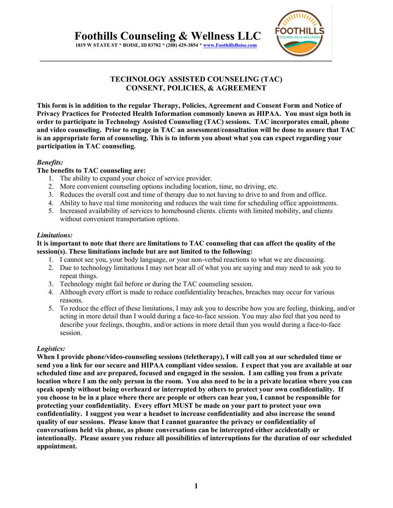

# **TECHNOLOGY ASSISTED COUNSELING (TAC) CONSENT, POLICIES, & AGREEMENT**

**This form is in addition to the regular Therapy, Policies, Agreement and Consent Form and Notice of Privacy Practices for Protected Health Information commonly known as HIPAA. You must sign both in order to participate in Technology Assisted Counseling (TAC) sessions. TAC incorporates email, phone and video counseling. Prior to engage in TAC an assessment/consultation will be done to assure that TAC is an appropriate form of counseling. This is to inform you about what you can expect regarding your participation in TAC counseling.** 

### *Benefits:*

### **The benefits to TAC counseling are:**

- 1. The ability to expand your choice of service provider.
- 2. More convenient counseling options including location, time, no driving, etc.
- 3. Reduces the overall cost and time of therapy due to not having to drive to and from and office.
- 4. Ability to have real time monitoring and reduces the wait time for scheduling office appointments.
- 5. Increased availability of services to homebound clients. clients with limited mobility, and clients without convenient transportation options.

#### *Limitations:*

#### **It is important to note that there are limitations to TAC counseling that can affect the quality of the session(s). These limitations include but are not limited to the following:**

- 1. I cannot see you, your body language, or your non-verbal reactions to what we are discussing.
- 2. Due to technology limitations I may not hear all of what you are saying and may need to ask you to repeat things.
- 3. Technology might fail before or during the TAC counseling session.
- 4. Although every effort is made to reduce confidentiality breaches, breaches may occur for various reasons.
- 5. To reduce the effect of these limitations, I may ask you to describe how you are feeling, thinking, and/or acting in more detail than I would during a face-to-face session. You may also feel that you need to describe your feelings, thoughts, and/or actions in more detail than you would during a face-to-face session.

# *Logistics:*

**When I provide phone/video-counseling sessions (teletherapy), I will call you at our scheduled time or send you a link for our secure and HIPAA compliant video session. I expect that you are available at our scheduled time and are prepared, focused and engaged in the session. I am calling you from a private location where I am the only person in the room. You also need to be in a private location where you can speak openly without being overheard or interrupted by others to protect your own confidentiality. If you choose to be in a place where there are people or others can hear you, I cannot be responsible for protecting your confidentiality. Every effort MUST be made on your part to protect your own confidentiality. I suggest you wear a headset to increase confidentiality and also increase the sound quality of our sessions. Please know that I cannot guarantee the privacy or confidentiality of conversations held via phone, as phone conversations can be intercepted either accidentally or intentionally. Please assure you reduce all possibilities of interruptions for the duration of our scheduled appointment.**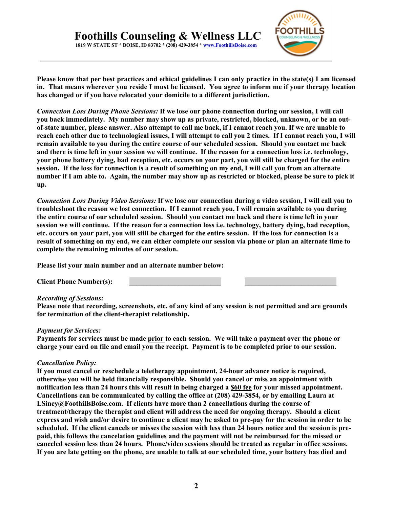

**Please know that per best practices and ethical guidelines I can only practice in the state(s) I am licensed in. That means wherever you reside I must be licensed. You agree to inform me if your therapy location has changed or if you have relocated your domicile to a different jurisdiction.**

*Connection Loss During Phone Sessions:* **If we lose our phone connection during our session, I will call you back immediately. My number may show up as private, restricted, blocked, unknown, or be an outof-state number, please answer. Also attempt to call me back, if I cannot reach you. If we are unable to reach each other due to technological issues, I will attempt to call you 2 times. If I cannot reach you, I will remain available to you during the entire course of our scheduled session. Should you contact me back and there is time left in your session we will continue. If the reason for a connection loss i.e. technology, your phone battery dying, bad reception, etc. occurs on your part, you will still be charged for the entire session. If the loss for connection is a result of something on my end, I will call you from an alternate number if I am able to. Again, the number may show up as restricted or blocked, please be sure to pick it up.** 

*Connection Loss During Video Sessions:* **If we lose our connection during a video session, I will call you to troubleshoot the reason we lost connection. If I cannot reach you, I will remain available to you during the entire course of our scheduled session. Should you contact me back and there is time left in your session we will continue. If the reason for a connection loss i.e. technology, battery dying, bad reception, etc. occurs on your part, you will still be charged for the entire session. If the loss for connection is a result of something on my end, we can either complete our session via phone or plan an alternate time to complete the remaining minutes of our session.** 

**Please list your main number and an alternate number below:**

**Client Phone Number(s): \_\_\_\_\_\_\_\_\_\_\_\_\_\_\_\_\_\_\_\_\_\_\_\_\_\_ \_\_\_\_\_\_\_\_\_\_\_\_\_\_\_\_\_\_\_\_\_\_\_\_\_\_**

#### *Recording of Sessions:*

**Please note that recording, screenshots, etc. of any kind of any session is not permitted and are grounds for termination of the client-therapist relationship.** 

#### *Payment for Services:*

**Payments for services must be made prior to each session. We will take a payment over the phone or charge your card on file and email you the receipt. Payment is to be completed prior to our session.** 

#### *Cancellation Policy:*

**If you must cancel or reschedule a teletherapy appointment, 24-hour advance notice is required, otherwise you will be held financially responsible. Should you cancel or miss an appointment with notification less than 24 hours this will result in being charged a \$60 fee for your missed appointment. Cancellations can be communicated by calling the office at (208) 429-3854, or by emailing Laura at LSiney@FoothillsBoise.com. If clients have more than 2 cancellations during the course of treatment/therapy the therapist and client will address the need for ongoing therapy. Should a client express and wish and/or desire to continue a client may be asked to pre-pay for the session in order to be scheduled. If the client cancels or misses the session with less than 24 hours notice and the session is prepaid, this follows the cancelation guidelines and the payment will not be reimbursed for the missed or canceled session less than 24 hours. Phone/video sessions should be treated as regular in office sessions. If you are late getting on the phone, are unable to talk at our scheduled time, your battery has died and**